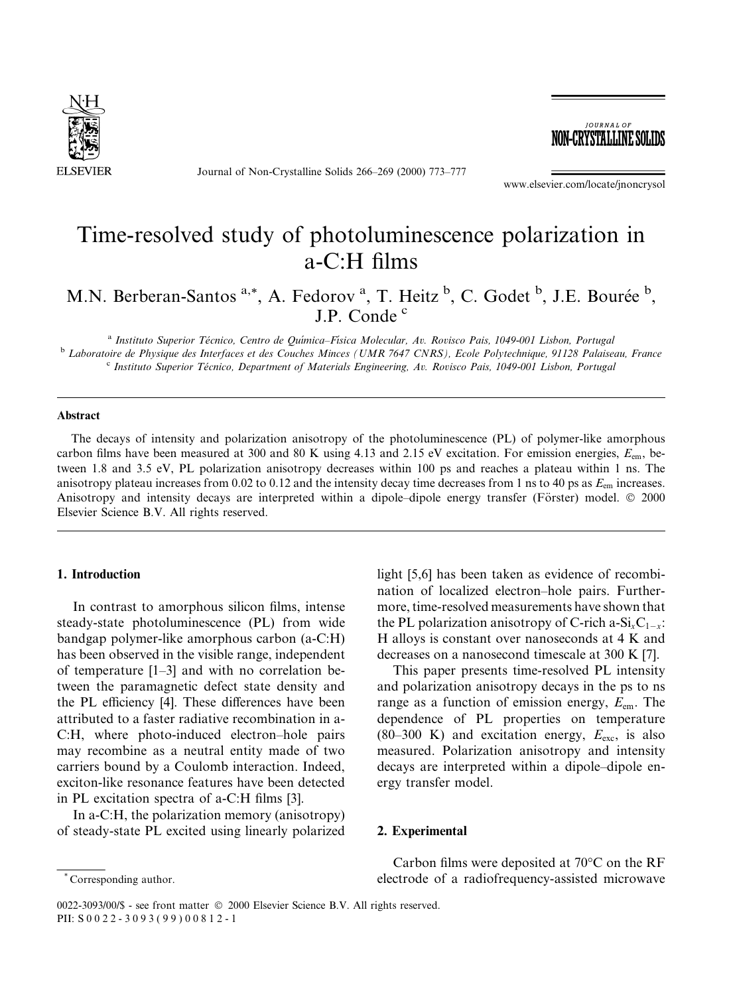

Journal of Non-Crystalline Solids 266-269 (2000) 773-777

**JOURNAL OF** NON-CRYSTALLINE SOLID

www.elsevier.com/locate/jnoncrysol

# Time-resolved study of photoluminescence polarization in  $a-C:H$  films

M.N. Berberan-Santos<sup>a,\*</sup>, A. Fedorov<sup>a</sup>, T. Heitz<sup>b</sup>, C. Godet<sup>b</sup>, J.E. Bourée<sup>b</sup>, J.P. Conde<sup>c</sup>

<sup>a</sup> Instituto Superior Técnico, Centro de Química-Física Molecular, Av. Rovisco Pais, 1049-001 Lisbon, Portugal<br><sup>b</sup> Laboratoire de Physique des Interfaces et des Couches Minces (UMR 7647 CNRS), Ecole Polytechnique, 91128 P

#### Abstract

The decays of intensity and polarization anisotropy of the photoluminescence (PL) of polymer-like amorphous carbon films have been measured at 300 and 80 K using 4.13 and 2.15 eV excitation. For emission energies,  $E_{em}$ , between 1.8 and 3.5 eV, PL polarization anisotropy decreases within 100 ps and reaches a plateau within 1 ns. The anisotropy plateau increases from 0.02 to 0.12 and the intensity decay time decreases from 1 ns to 40 ps as  $E_{\rm em}$  increases. Anisotropy and intensity decays are interpreted within a dipole-dipole energy transfer (Förster) model. © 2000 Elsevier Science B.V. All rights reserved.

## 1. Introduction

In contrast to amorphous silicon films, intense steady-state photoluminescence (PL) from wide bandgap polymer-like amorphous carbon (a-C:H) has been observed in the visible range, independent of temperature  $[1-3]$  and with no correlation between the paramagnetic defect state density and the PL efficiency [4]. These differences have been attributed to a faster radiative recombination in a-C:H, where photo-induced electron-hole pairs may recombine as a neutral entity made of two carriers bound by a Coulomb interaction. Indeed, exciton-like resonance features have been detected in PL excitation spectra of a-C:H films  $[3]$ .

In a-C:H, the polarization memory (anisotropy) of steady-state PL excited using linearly polarized

light [5,6] has been taken as evidence of recombination of localized electron-hole pairs. Furthermore, time-resolved measurements have shown that the PL polarization anisotropy of C-rich a-Si<sub>x</sub>C<sub>1-x</sub>: H alloys is constant over nanoseconds at 4 K and decreases on a nanosecond timescale at 300 K [7].

This paper presents time-resolved PL intensity and polarization anisotropy decays in the ps to ns range as a function of emission energy,  $E_{\text{em}}$ . The dependence of PL properties on temperature (80-300 K) and excitation energy,  $E_{\text{exc}}$ , is also measured. Polarization anisotropy and intensity decays are interpreted within a dipole-dipole energy transfer model.

#### 2. Experimental

Carbon films were deposited at  $70^{\circ}$ C on the RF electrode of a radiofrequency-assisted microwave

Corresponding author.

<sup>0022-3093/00/\$ -</sup> see front matter © 2000 Elsevier Science B.V. All rights reserved. PII: S 0 0 2 2 - 3 0 9 3 ( 9 9 ) 0 0 812-1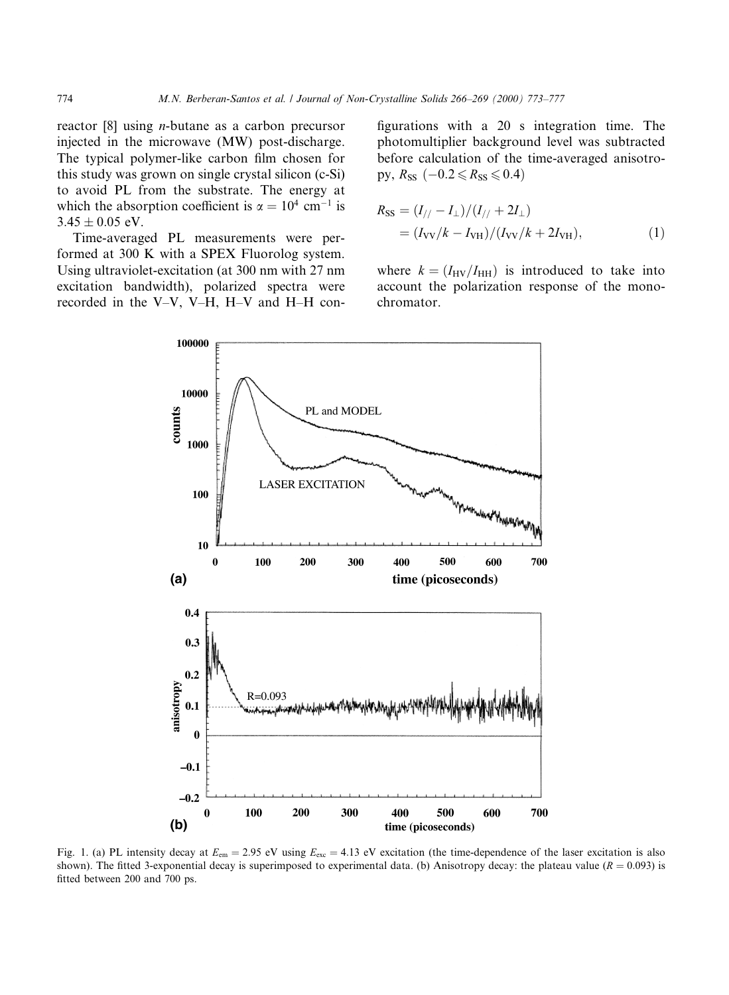reactor [8] using n-butane as a carbon precursor injected in the microwave (MW) post-discharge. The typical polymer-like carbon film chosen for this study was grown on single crystal silicon (c-Si) to avoid PL from the substrate. The energy at which the absorption coefficient is  $\alpha = 10^4$  cm<sup>-1</sup> is  $3.45 \pm 0.05$  eV.

Time-averaged PL measurements were performed at 300 K with a SPEX Fluorolog system. Using ultraviolet-excitation (at 300 nm with 27 nm excitation bandwidth), polarized spectra were recorded in the V-V, V-H, H-V and H-H configurations with a 20 s integration time. The photomultiplier background level was subtracted before calculation of the time-averaged anisotropy,  $R_{SS}$  ( $-0.2 \le R_{SS} \le 0.4$ )

$$
R_{\rm SS} = (I_{//} - I_{\perp})/(I_{//} + 2I_{\perp})
$$
  
=  $(I_{\rm VV}/k - I_{\rm VH})/(I_{\rm VV}/k + 2I_{\rm VH}),$  (1)

where  $k = (I_{\text{HV}}/I_{\text{HH}})$  is introduced to take into account the polarization response of the monochromator.



Fig. 1. (a) PL intensity decay at  $E_{\text{em}} = 2.95$  eV using  $E_{\text{exc}} = 4.13$  eV excitation (the time-dependence of the laser excitation is also shown). The fitted 3-exponential decay is superimposed to experimental data. (b) Anisotropy decay: the plateau value ( $R = 0.093$ ) is fitted between 200 and 700 ps.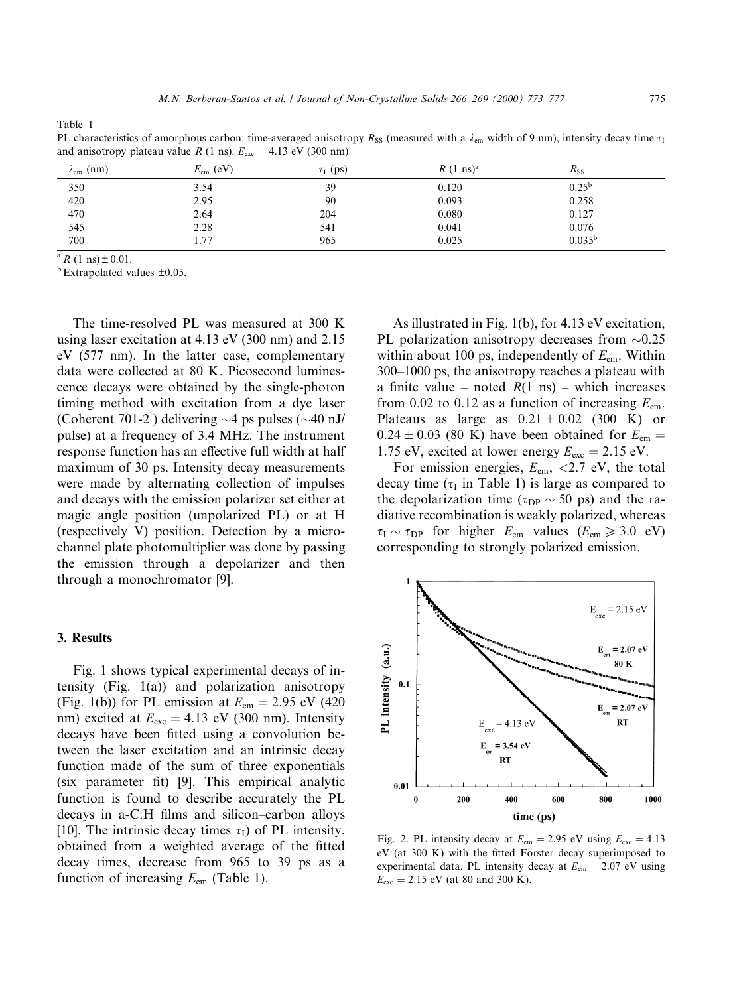Table 1

PL characteristics of amorphous carbon: time-averaged anisotropy R<sub>SS</sub> (measured with a  $\lambda_{cm}$  width of 9 nm), intensity decay time  $\tau_1$ and anisotropy plateau value R (1 ns).  $E_{\text{exc}} = 4.13 \text{ eV}$  (300 nm)

| .                       |                   |               |                              |             |  |
|-------------------------|-------------------|---------------|------------------------------|-------------|--|
| $\lambda_{\rm em}$ (nm) | $E_{\rm em}$ (eV) | $\tau_I$ (ps) | $R(1 \text{ ns})^{\text{a}}$ | $R_{SS}$    |  |
| 350                     | 3.54              | 39            | 0.120                        | $0.25^{b}$  |  |
| 420                     | 2.95              | 90            | 0.093                        | 0.258       |  |
| 470                     | 2.64              | 204           | 0.080                        | 0.127       |  |
| 545                     | 2.28              | 541           | 0.041                        | 0.076       |  |
| 700                     | 1.77              | 965           | 0.025                        | $0.035^{b}$ |  |
|                         |                   |               |                              |             |  |

<sup>a</sup> R (1 ns)  $\pm$  0.01.<br><sup>b</sup> Extrapolated values  $\pm$ 0.05.

The time-resolved PL was measured at 300 K using laser excitation at 4.13 eV (300 nm) and 2.15 eV (577 nm). In the latter case, complementary data were collected at 80 K. Picosecond luminescence decays were obtained by the single-photon timing method with excitation from a dye laser (Coherent 701-2) delivering  $\sim$ 4 ps pulses ( $\sim$ 40 nJ/ pulse) at a frequency of 3.4 MHz. The instrument response function has an effective full width at half maximum of 30 ps. Intensity decay measurements were made by alternating collection of impulses and decays with the emission polarizer set either at magic angle position (unpolarized PL) or at H (respectively V) position. Detection by a microchannel plate photomultiplier was done by passing the emission through a depolarizer and then through a monochromator [9].

#### 3. Results

Fig. 1 shows typical experimental decays of intensity (Fig. 1(a)) and polarization anisotropy (Fig. 1(b)) for PL emission at  $E_{\text{em}} = 2.95$  eV (420) nm) excited at  $E_{\text{exc}} = 4.13$  eV (300 nm). Intensity decays have been fitted using a convolution between the laser excitation and an intrinsic decay function made of the sum of three exponentials (six parameter fit) [9]. This empirical analytic function is found to describe accurately the PL decays in a-C:H films and silicon–carbon alloys [10]. The intrinsic decay times  $\tau_I$ ) of PL intensity, obtained from a weighted average of the fitted decay times, decrease from 965 to 39 ps as a function of increasing  $E_{\text{em}}$  (Table 1).

As illustrated in Fig. 1(b), for 4.13 eV excitation, PL polarization anisotropy decreases from  $\sim 0.25$ within about 100 ps, independently of  $E_{em}$ . Within  $300-1000$  ps, the anisotropy reaches a plateau with a finite value – noted  $R(1 \text{ ns})$  – which increases from 0.02 to 0.12 as a function of increasing  $E_{\text{em}}$ . Plateaus as large as  $0.21 \pm 0.02$  (300 K) or  $0.24 \pm 0.03$  (80 K) have been obtained for  $E_{\text{em}} =$ 1.75 eV, excited at lower energy  $E_{\text{exc}} = 2.15 \text{ eV}$ .

For emission energies,  $E_{\text{em}}$ , <2.7 eV, the total decay time ( $\tau_1$  in Table 1) is large as compared to the depolarization time ( $\tau_{DP} \sim 50$  ps) and the radiative recombination is weakly polarized, whereas  $\tau_{\rm I} \sim \tau_{\rm DP}$  for higher  $E_{\rm em}$  values ( $E_{\rm em} \geq 3.0$  eV) corresponding to strongly polarized emission.



Fig. 2. PL intensity decay at  $E_{\text{em}} = 2.95 \text{ eV}$  using  $E_{\text{exc}} = 4.13$ eV (at 300 K) with the fitted Förster decay superimposed to experimental data. PL intensity decay at  $E_{\text{em}} = 2.07 \text{ eV}$  using  $E_{\rm exc} = 2.15 \text{ eV}$  (at 80 and 300 K).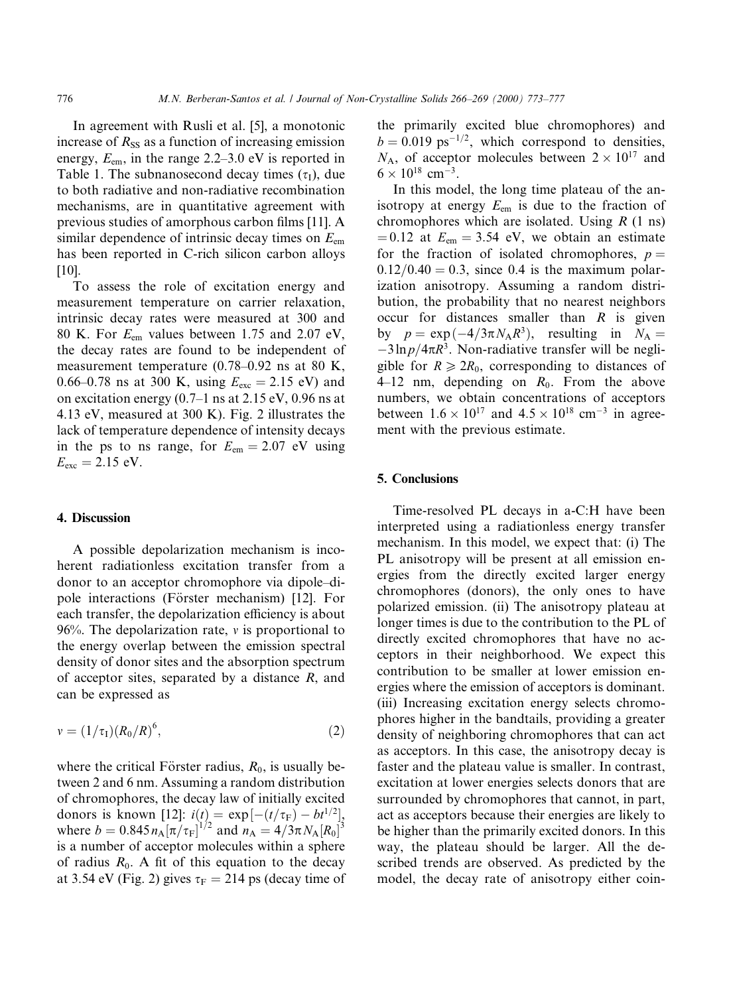In agreement with Rusli et al. [5], a monotonic increase of  $R_{SS}$  as a function of increasing emission energy,  $E_{\text{em}}$ , in the range 2.2–3.0 eV is reported in Table 1. The subnanosecond decay times  $(\tau_I)$ , due to both radiative and non-radiative recombination mechanisms, are in quantitative agreement with previous studies of amorphous carbon films [11]. A similar dependence of intrinsic decay times on  $E_{\text{em}}$ has been reported in C-rich silicon carbon alloys [10].

To assess the role of excitation energy and measurement temperature on carrier relaxation, intrinsic decay rates were measured at 300 and 80 K. For  $E_{\text{em}}$  values between 1.75 and 2.07 eV, the decay rates are found to be independent of measurement temperature  $(0.78-0.92 \text{ ns at } 80 \text{ K})$ , 0.66–0.78 ns at 300 K, using  $E_{\text{exc}} = 2.15 \text{ eV}$  and on excitation energy  $(0.7-1 \text{ ns at } 2.15 \text{ eV}, 0.96 \text{ ns at } 1.1 \text{ sV})$ 4.13 eV, measured at 300 K). Fig. 2 illustrates the lack of temperature dependence of intensity decays in the ps to ns range, for  $E_{\text{em}} = 2.07$  eV using  $E_{\text{exc}} = 2.15 \text{ eV}.$ 

#### 4. Discussion

A possible depolarization mechanism is incoherent radiationless excitation transfer from a donor to an acceptor chromophore via dipole-dipole interactions (Förster mechanism) [12]. For each transfer, the depolarization efficiency is about 96%. The depolarization rate,  $\nu$  is proportional to the energy overlap between the emission spectral density of donor sites and the absorption spectrum of acceptor sites, separated by a distance  $R$ , and can be expressed as

$$
v = (1/\tau_1)(R_0/R)^6,
$$
 (2)

where the critical Förster radius,  $R_0$ , is usually between 2 and 6 nm. Assuming a random distribution of chromophores, the decay law of initially excited donors is known [12]:  $i(t) = \exp[-(t/\tau_F) - bt^{1/2}],$ where  $b = 0.845 n_A [\pi/\tau_F]^{1/2}$  and  $n_A = 4/3\pi N_A [R_0]^3$ is a number of acceptor molecules within a sphere of radius  $R_0$ . A fit of this equation to the decay at 3.54 eV (Fig. 2) gives  $\tau_F = 214$  ps (decay time of the primarily excited blue chromophores) and  $b = 0.019$  ps<sup>-1/2</sup>, which correspond to densities,  $N_A$ , of acceptor molecules between  $2 \times 10^{17}$  and  $6 \times 10^{18}$  cm<sup>-3</sup>.

In this model, the long time plateau of the anisotropy at energy  $E_{\text{em}}$  is due to the fraction of chromophores which are isolated. Using  $R$  (1 ns)  $= 0.12$  at  $E_{\text{em}} = 3.54$  eV, we obtain an estimate for the fraction of isolated chromophores,  $p =$  $0.12/0.40 = 0.3$ , since 0.4 is the maximum polarization anisotropy. Assuming a random distribution, the probability that no nearest neighbors occur for distances smaller than  $R$  is given by  $p = \exp(-4/3\pi N_A R^3)$ , resulting in  $N_A =$  $-3\ln p/4\pi R^3$ . Non-radiative transfer will be negligible for  $R \ge 2R_0$ , corresponding to distances of  $4-12$  nm, depending on  $R_0$ . From the above numbers, we obtain concentrations of acceptors between  $1.6 \times 10^{17}$  and  $4.5 \times 10^{18}$  cm<sup>-3</sup> in agreement with the previous estimate.

### 5. Conclusions

Time-resolved PL decays in a-C:H have been interpreted using a radiationless energy transfer mechanism. In this model, we expect that: (i) The PL anisotropy will be present at all emission energies from the directly excited larger energy chromophores (donors), the only ones to have polarized emission. (ii) The anisotropy plateau at longer times is due to the contribution to the PL of directly excited chromophores that have no acceptors in their neighborhood. We expect this contribution to be smaller at lower emission energies where the emission of acceptors is dominant. (iii) Increasing excitation energy selects chromophores higher in the bandtails, providing a greater density of neighboring chromophores that can act as acceptors. In this case, the anisotropy decay is faster and the plateau value is smaller. In contrast, excitation at lower energies selects donors that are surrounded by chromophores that cannot, in part, act as acceptors because their energies are likely to be higher than the primarily excited donors. In this way, the plateau should be larger. All the described trends are observed. As predicted by the model, the decay rate of anisotropy either coin-